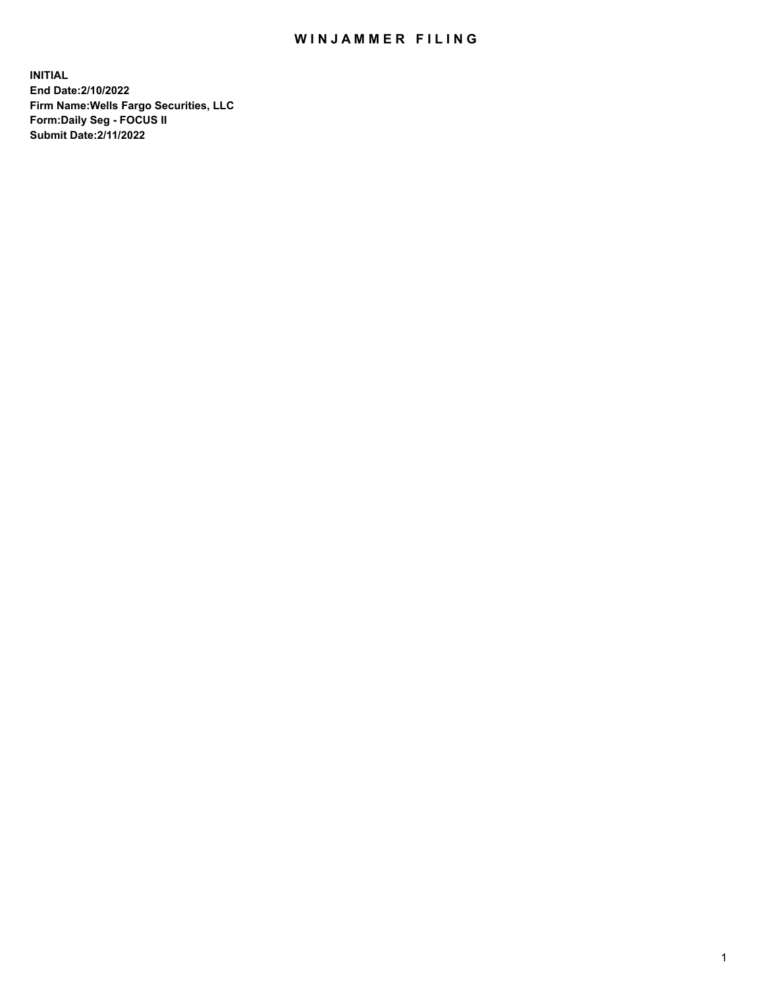## WIN JAMMER FILING

**INITIAL End Date:2/10/2022 Firm Name:Wells Fargo Securities, LLC Form:Daily Seg - FOCUS II Submit Date:2/11/2022**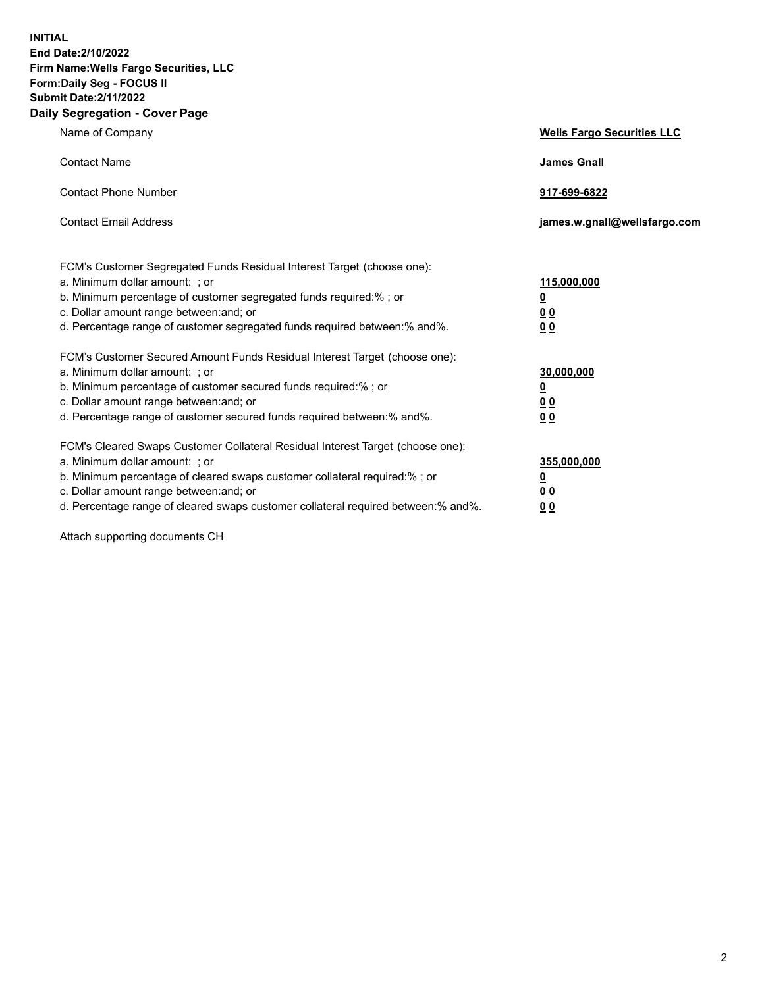**INITIAL End Date:2/10/2022 Firm Name:Wells Fargo Securities, LLC Form:Daily Seg - FOCUS II Submit Date:2/11/2022 Daily Segregation - Cover Page**

| Name of Company                                                                                                                                                                                                                                                                                                               | <b>Wells Fargo Securities LLC</b>                          |
|-------------------------------------------------------------------------------------------------------------------------------------------------------------------------------------------------------------------------------------------------------------------------------------------------------------------------------|------------------------------------------------------------|
| <b>Contact Name</b>                                                                                                                                                                                                                                                                                                           | <b>James Gnall</b>                                         |
| <b>Contact Phone Number</b>                                                                                                                                                                                                                                                                                                   | 917-699-6822                                               |
| <b>Contact Email Address</b>                                                                                                                                                                                                                                                                                                  | james.w.gnall@wellsfargo.com                               |
| FCM's Customer Segregated Funds Residual Interest Target (choose one):<br>a. Minimum dollar amount: ; or<br>b. Minimum percentage of customer segregated funds required:% ; or<br>c. Dollar amount range between: and; or<br>d. Percentage range of customer segregated funds required between:% and%.                        | 115,000,000<br><u>0</u><br>0 <sub>0</sub><br>00            |
| FCM's Customer Secured Amount Funds Residual Interest Target (choose one):<br>a. Minimum dollar amount: ; or<br>b. Minimum percentage of customer secured funds required:%; or<br>c. Dollar amount range between: and; or<br>d. Percentage range of customer secured funds required between: % and %.                         | 30,000,000<br><u>0</u><br>0 <sub>0</sub><br>0 <sub>0</sub> |
| FCM's Cleared Swaps Customer Collateral Residual Interest Target (choose one):<br>a. Minimum dollar amount: ; or<br>b. Minimum percentage of cleared swaps customer collateral required:%; or<br>c. Dollar amount range between: and; or<br>d. Percentage range of cleared swaps customer collateral required between:% and%. | 355,000,000<br><u>0</u><br>00<br>00                        |

Attach supporting documents CH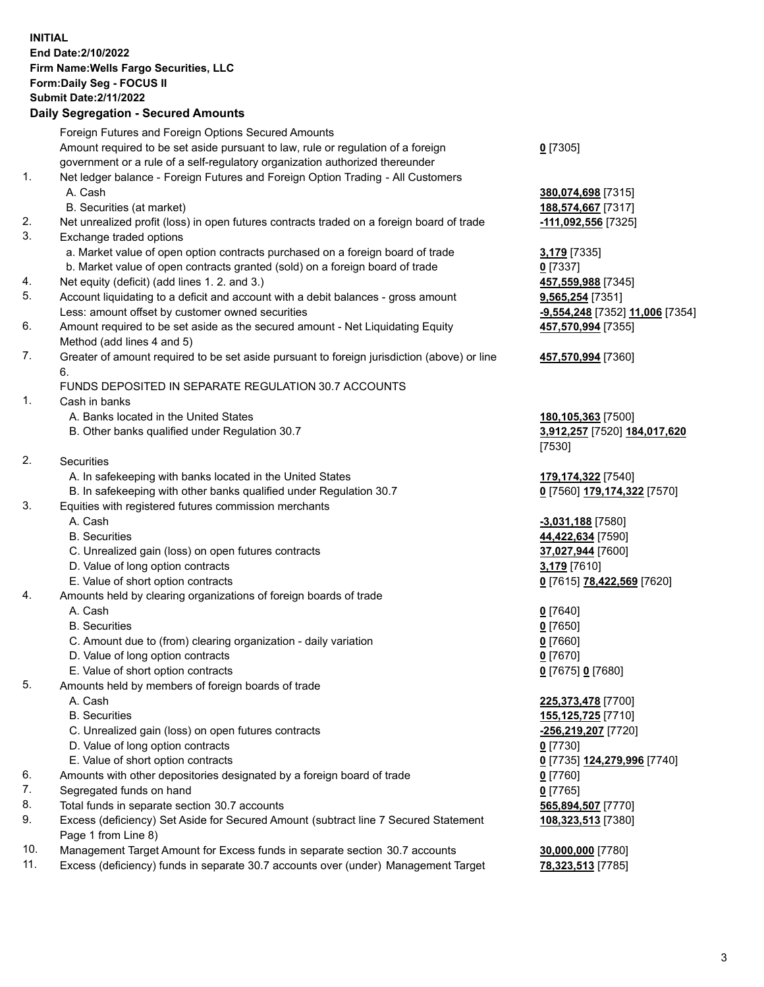**INITIAL End Date:2/10/2022 Firm Name:Wells Fargo Securities, LLC Form:Daily Seg - FOCUS II Submit Date:2/11/2022**

## **Daily Segregation - Secured Amounts**

|     | Foreign Futures and Foreign Options Secured Amounts                                         |                                 |
|-----|---------------------------------------------------------------------------------------------|---------------------------------|
|     | Amount required to be set aside pursuant to law, rule or regulation of a foreign            | $0$ [7305]                      |
|     | government or a rule of a self-regulatory organization authorized thereunder                |                                 |
| 1.  | Net ledger balance - Foreign Futures and Foreign Option Trading - All Customers             |                                 |
|     | A. Cash                                                                                     | 380,074,698 [7315]              |
|     | B. Securities (at market)                                                                   | 188,574,667 [7317]              |
| 2.  | Net unrealized profit (loss) in open futures contracts traded on a foreign board of trade   | 111,092,556 [7325]              |
| 3.  | Exchange traded options                                                                     |                                 |
|     | a. Market value of open option contracts purchased on a foreign board of trade              | 3,179 [7335]                    |
|     | b. Market value of open contracts granted (sold) on a foreign board of trade                | $0$ [7337]                      |
| 4.  | Net equity (deficit) (add lines 1. 2. and 3.)                                               | 457,559,988 [7345]              |
| 5.  | Account liquidating to a deficit and account with a debit balances - gross amount           | 9,565,254 [7351]                |
|     | Less: amount offset by customer owned securities                                            | -9,554,248 [7352] 11,006 [7354] |
| 6.  | Amount required to be set aside as the secured amount - Net Liquidating Equity              | 457,570,994 [7355]              |
|     | Method (add lines 4 and 5)                                                                  |                                 |
| 7.  | Greater of amount required to be set aside pursuant to foreign jurisdiction (above) or line | 457,570,994 [7360]              |
|     | 6.                                                                                          |                                 |
|     | FUNDS DEPOSITED IN SEPARATE REGULATION 30.7 ACCOUNTS                                        |                                 |
| 1.  | Cash in banks                                                                               |                                 |
|     | A. Banks located in the United States                                                       | 180,105,363 [7500]              |
|     | B. Other banks qualified under Regulation 30.7                                              | 3,912,257 [7520] 184,017,620    |
|     |                                                                                             | [7530]                          |
| 2.  | Securities                                                                                  |                                 |
|     | A. In safekeeping with banks located in the United States                                   | 179,174,322 [7540]              |
|     | B. In safekeeping with other banks qualified under Regulation 30.7                          | 0 [7560] 179,174,322 [7570]     |
| 3.  | Equities with registered futures commission merchants                                       |                                 |
|     | A. Cash                                                                                     | $-3,031,188$ [7580]             |
|     | <b>B.</b> Securities                                                                        | 44,422,634 [7590]               |
|     | C. Unrealized gain (loss) on open futures contracts                                         | 37,027,944 [7600]               |
|     | D. Value of long option contracts                                                           | 3,179 [7610]                    |
|     | E. Value of short option contracts                                                          | 0 [7615] 78,422,569 [7620]      |
| 4.  | Amounts held by clearing organizations of foreign boards of trade                           |                                 |
|     | A. Cash                                                                                     |                                 |
|     | <b>B.</b> Securities                                                                        | $0$ [7640]<br>$0$ [7650]        |
|     |                                                                                             |                                 |
|     | C. Amount due to (from) clearing organization - daily variation                             | $0$ [7660]                      |
|     | D. Value of long option contracts                                                           | $0$ [7670]                      |
|     | E. Value of short option contracts                                                          | 0 [7675] 0 [7680]               |
| 5.  | Amounts held by members of foreign boards of trade                                          |                                 |
|     | A. Cash                                                                                     | 225,373,478 [7700]              |
|     | <b>B.</b> Securities                                                                        | 155,125,725 [7710]              |
|     | C. Unrealized gain (loss) on open futures contracts                                         | -256,219,207 [7720]             |
|     | D. Value of long option contracts                                                           | $0$ [7730]                      |
|     | E. Value of short option contracts                                                          | 0 [7735] 124,279,996 [7740]     |
| 6.  | Amounts with other depositories designated by a foreign board of trade                      | 0 [7760]                        |
| 7.  | Segregated funds on hand                                                                    | $0$ [7765]                      |
| 8.  | Total funds in separate section 30.7 accounts                                               | 565,894,507 [7770]              |
| 9.  | Excess (deficiency) Set Aside for Secured Amount (subtract line 7 Secured Statement         | 108,323,513 [7380]              |
|     | Page 1 from Line 8)                                                                         |                                 |
| 10. | Management Target Amount for Excess funds in separate section 30.7 accounts                 | 30,000,000 [7780]               |

- 
- 11. Excess (deficiency) funds in separate 30.7 accounts over (under) Management Target **78,323,513** [7785]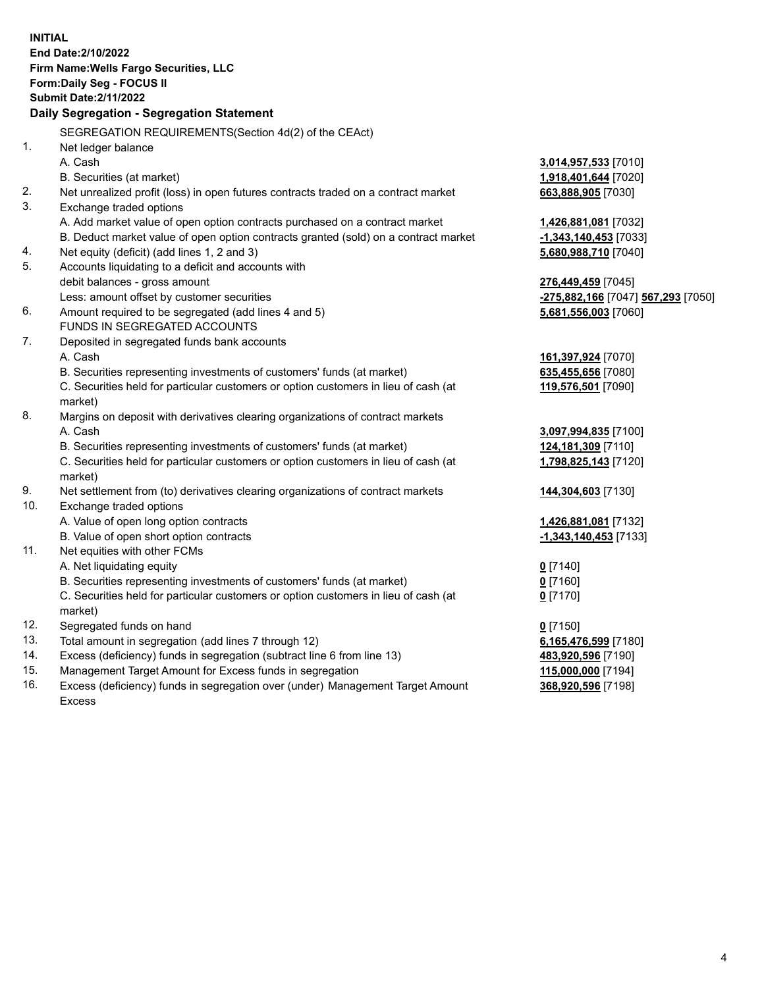**INITIAL End Date:2/10/2022 Firm Name:Wells Fargo Securities, LLC Form:Daily Seg - FOCUS II Submit Date:2/11/2022 Daily Segregation - Segregation Statement** SEGREGATION REQUIREMENTS(Section 4d(2) of the CEAct) 1. Net ledger balance A. Cash **3,014,957,533** [7010] B. Securities (at market) **1,918,401,644** [7020] 2. Net unrealized profit (loss) in open futures contracts traded on a contract market **663,888,905** [7030] 3. Exchange traded options A. Add market value of open option contracts purchased on a contract market **1,426,881,081** [7032] B. Deduct market value of open option contracts granted (sold) on a contract market **-1,343,140,453** [7033] 4. Net equity (deficit) (add lines 1, 2 and 3) **5,680,988,710** [7040] 5. Accounts liquidating to a deficit and accounts with debit balances - gross amount **276,449,459** [7045] Less: amount offset by customer securities **-275,882,166** [7047] **567,293** [7050] 6. Amount required to be segregated (add lines 4 and 5) **5,681,556,003** [7060] FUNDS IN SEGREGATED ACCOUNTS 7. Deposited in segregated funds bank accounts A. Cash **161,397,924** [7070] B. Securities representing investments of customers' funds (at market) **635,455,656** [7080] C. Securities held for particular customers or option customers in lieu of cash (at market) **119,576,501** [7090] 8. Margins on deposit with derivatives clearing organizations of contract markets A. Cash **3,097,994,835** [7100] B. Securities representing investments of customers' funds (at market) **124,181,309** [7110] C. Securities held for particular customers or option customers in lieu of cash (at market) **1,798,825,143** [7120] 9. Net settlement from (to) derivatives clearing organizations of contract markets **144,304,603** [7130] 10. Exchange traded options A. Value of open long option contracts **1,426,881,081** [7132] B. Value of open short option contracts **-1,343,140,453** [7133] 11. Net equities with other FCMs A. Net liquidating equity **0** [7140] B. Securities representing investments of customers' funds (at market) **0** [7160] C. Securities held for particular customers or option customers in lieu of cash (at market) **0** [7170] 12. Segregated funds on hand **0** [7150] 13. Total amount in segregation (add lines 7 through 12) **6,165,476,599** [7180] 14. Excess (deficiency) funds in segregation (subtract line 6 from line 13) **483,920,596** [7190] 15. Management Target Amount for Excess funds in segregation **115,000,000** [7194] 16. Excess (deficiency) funds in segregation over (under) Management Target Amount **368,920,596** [7198]

Excess